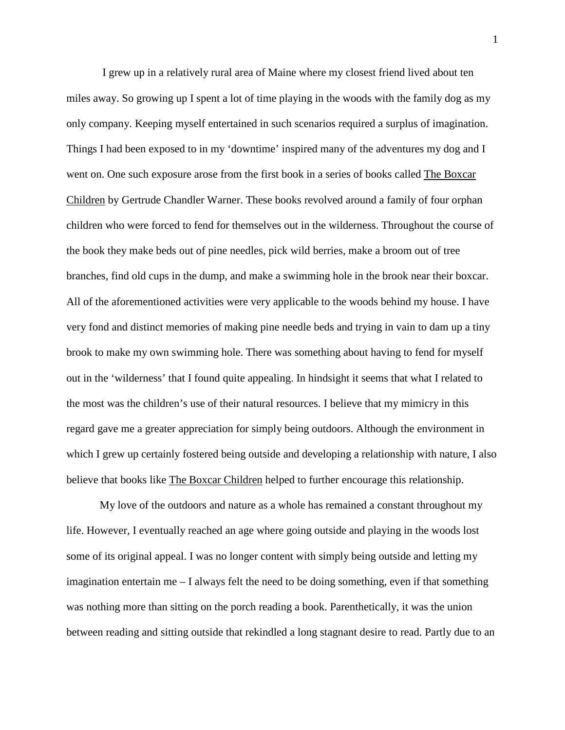I grew up in a relatively rural area of Maine where my closest friend lived about ten miles away. So growing up I spent a lot of time playing in the woods with the family dog as my only company. Keeping myself entertained in such scenarios required a surplus of imagination. Things I had been exposed to in my 'downtime' inspired many of the adventures my dog and I went on. One such exposure arose from the first book in a series of books called The Boxcar Children by Gertrude Chandler Warner. These books revolved around a family of four orphan children who were forced to fend for themselves out in the wilderness. Throughout the course of the book they make beds out of pine needles, pick wild berries, make a broom out of tree branches, find old cups in the dump, and make a swimming hole in the brook near their boxcar. All of the aforementioned activities were very applicable to the woods behind my house. I have very fond and distinct memories of making pine needle beds and trying in vain to dam up a tiny brook to make my own swimming hole. There was something about having to fend for myself out in the 'wilderness' that I found quite appealing. In hindsight it seems that what I related to the most was the children's use of their natural resources. I believe that my mimicry in this regard gave me a greater appreciation for simply being outdoors. Although the environment in which I grew up certainly fostered being outside and developing a relationship with nature, I also believe that books like The Boxcar Children helped to further encourage this relationship.

My love of the outdoors and nature as a whole has remained a constant throughout my life. However, I eventually reached an age where going outside and playing in the woods lost some of its original appeal. I was no longer content with simply being outside and letting my imagination entertain me  $-1$  always felt the need to be doing something, even if that something was nothing more than sitting on the porch reading a book. Parenthetically, it was the union between reading and sitting outside that rekindled a long stagnant desire to read. Partly due to an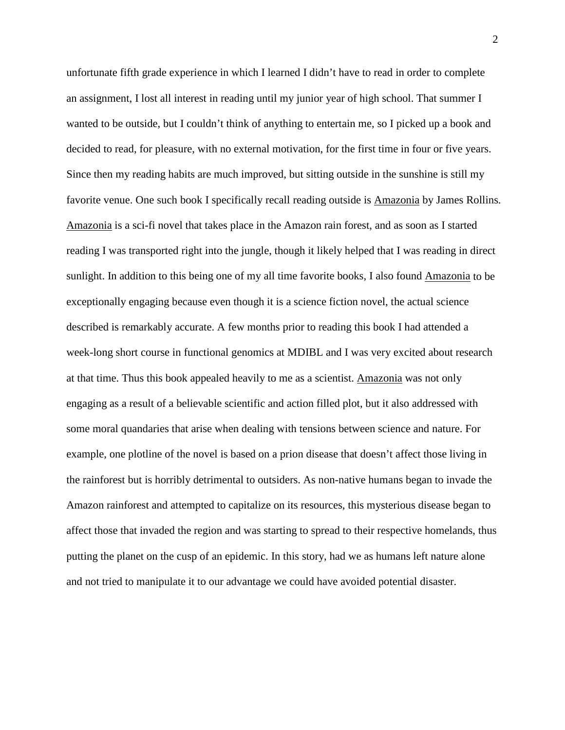unfortunate fifth grade experience in which I learned I didn't have to read in order to complete an assignment, I lost all interest in reading until my junior year of high school. That summer I wanted to be outside, but I couldn't think of anything to entertain me, so I picked up a book and decided to read, for pleasure, with no external motivation, for the first time in four or five years. Since then my reading habits are much improved, but sitting outside in the sunshine is still my favorite venue. One such book I specifically recall reading outside is Amazonia by James Rollins. Amazonia is a sci-fi novel that takes place in the Amazon rain forest, and as soon as I started reading I was transported right into the jungle, though it likely helped that I was reading in direct sunlight. In addition to this being one of my all time favorite books, I also found Amazonia to be exceptionally engaging because even though it is a science fiction novel, the actual science described is remarkably accurate. A few months prior to reading this book I had attended a week-long short course in functional genomics at MDIBL and I was very excited about research at that time. Thus this book appealed heavily to me as a scientist. Amazonia was not only engaging as a result of a believable scientific and action filled plot, but it also addressed with some moral quandaries that arise when dealing with tensions between science and nature. For example, one plotline of the novel is based on a prion disease that doesn't affect those living in the rainforest but is horribly detrimental to outsiders. As non-native humans began to invade the Amazon rainforest and attempted to capitalize on its resources, this mysterious disease began to affect those that invaded the region and was starting to spread to their respective homelands, thus putting the planet on the cusp of an epidemic. In this story, had we as humans left nature alone and not tried to manipulate it to our advantage we could have avoided potential disaster.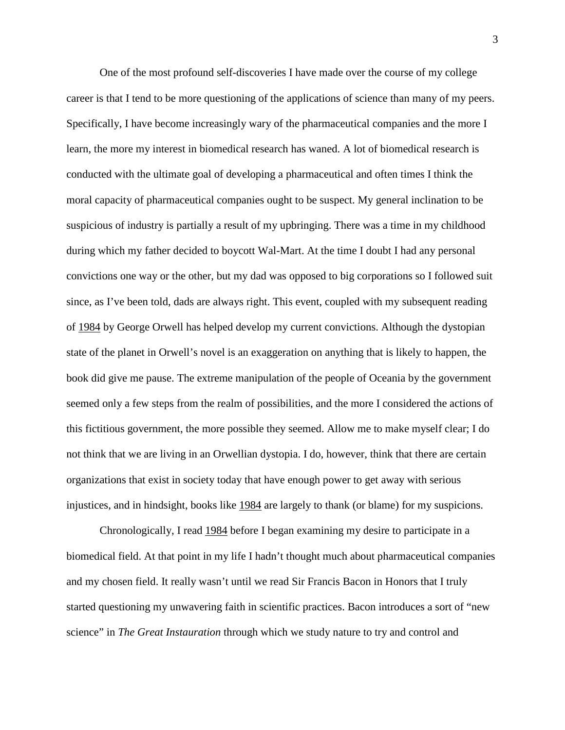One of the most profound self-discoveries I have made over the course of my college career is that I tend to be more questioning of the applications of science than many of my peers. Specifically, I have become increasingly wary of the pharmaceutical companies and the more I learn, the more my interest in biomedical research has waned. A lot of biomedical research is conducted with the ultimate goal of developing a pharmaceutical and often times I think the moral capacity of pharmaceutical companies ought to be suspect. My general inclination to be suspicious of industry is partially a result of my upbringing. There was a time in my childhood during which my father decided to boycott Wal-Mart. At the time I doubt I had any personal convictions one way or the other, but my dad was opposed to big corporations so I followed suit since, as I've been told, dads are always right. This event, coupled with my subsequent reading of 1984 by George Orwell has helped develop my current convictions. Although the dystopian state of the planet in Orwell's novel is an exaggeration on anything that is likely to happen, the book did give me pause. The extreme manipulation of the people of Oceania by the government seemed only a few steps from the realm of possibilities, and the more I considered the actions of this fictitious government, the more possible they seemed. Allow me to make myself clear; I do not think that we are living in an Orwellian dystopia. I do, however, think that there are certain organizations that exist in society today that have enough power to get away with serious injustices, and in hindsight, books like 1984 are largely to thank (or blame) for my suspicions.

Chronologically, I read 1984 before I began examining my desire to participate in a biomedical field. At that point in my life I hadn't thought much about pharmaceutical companies and my chosen field. It really wasn't until we read Sir Francis Bacon in Honors that I truly started questioning my unwavering faith in scientific practices. Bacon introduces a sort of "new science" in *The Great Instauration* through which we study nature to try and control and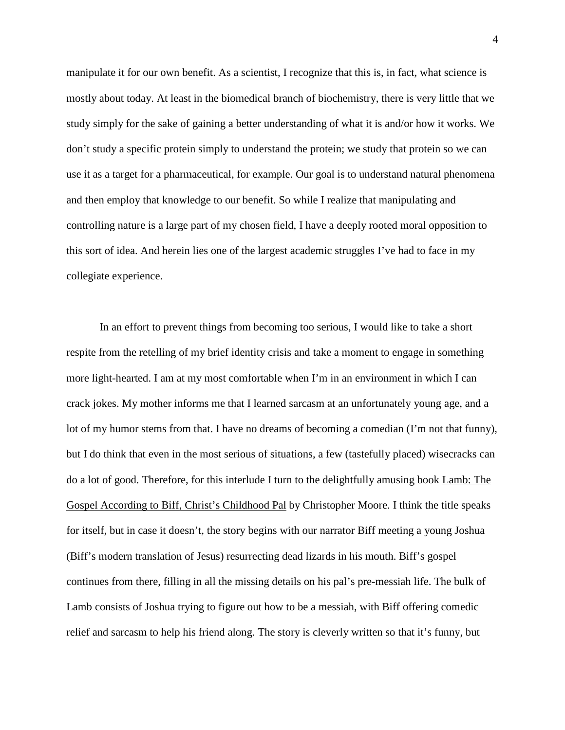manipulate it for our own benefit. As a scientist, I recognize that this is, in fact, what science is mostly about today. At least in the biomedical branch of biochemistry, there is very little that we study simply for the sake of gaining a better understanding of what it is and/or how it works. We don't study a specific protein simply to understand the protein; we study that protein so we can use it as a target for a pharmaceutical, for example. Our goal is to understand natural phenomena and then employ that knowledge to our benefit. So while I realize that manipulating and controlling nature is a large part of my chosen field, I have a deeply rooted moral opposition to this sort of idea. And herein lies one of the largest academic struggles I've had to face in my collegiate experience.

In an effort to prevent things from becoming too serious, I would like to take a short respite from the retelling of my brief identity crisis and take a moment to engage in something more light-hearted. I am at my most comfortable when I'm in an environment in which I can crack jokes. My mother informs me that I learned sarcasm at an unfortunately young age, and a lot of my humor stems from that. I have no dreams of becoming a comedian (I'm not that funny), but I do think that even in the most serious of situations, a few (tastefully placed) wisecracks can do a lot of good. Therefore, for this interlude I turn to the delightfully amusing book Lamb: The Gospel According to Biff, Christ's Childhood Pal by Christopher Moore. I think the title speaks for itself, but in case it doesn't, the story begins with our narrator Biff meeting a young Joshua (Biff's modern translation of Jesus) resurrecting dead lizards in his mouth. Biff's gospel continues from there, filling in all the missing details on his pal's pre-messiah life. The bulk of Lamb consists of Joshua trying to figure out how to be a messiah, with Biff offering comedic relief and sarcasm to help his friend along. The story is cleverly written so that it's funny, but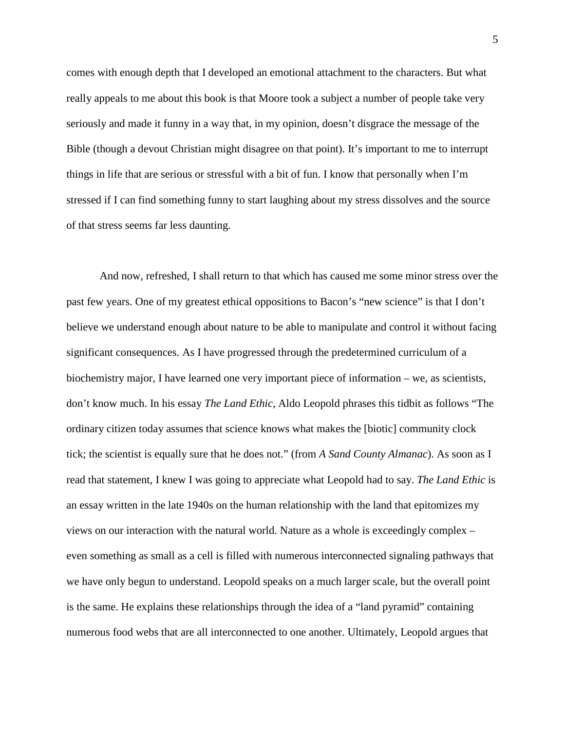comes with enough depth that I developed an emotional attachment to the characters. But what really appeals to me about this book is that Moore took a subject a number of people take very seriously and made it funny in a way that, in my opinion, doesn't disgrace the message of the Bible (though a devout Christian might disagree on that point). It's important to me to interrupt things in life that are serious or stressful with a bit of fun. I know that personally when I'm stressed if I can find something funny to start laughing about my stress dissolves and the source of that stress seems far less daunting.

And now, refreshed, I shall return to that which has caused me some minor stress over the past few years. One of my greatest ethical oppositions to Bacon's "new science" is that I don't believe we understand enough about nature to be able to manipulate and control it without facing significant consequences. As I have progressed through the predetermined curriculum of a biochemistry major, I have learned one very important piece of information – we, as scientists, don't know much. In his essay *The Land Ethic*, Aldo Leopold phrases this tidbit as follows "The ordinary citizen today assumes that science knows what makes the [biotic] community clock tick; the scientist is equally sure that he does not." (from *A Sand County Almanac*). As soon as I read that statement, I knew I was going to appreciate what Leopold had to say. *The Land Ethic* is an essay written in the late 1940s on the human relationship with the land that epitomizes my views on our interaction with the natural world. Nature as a whole is exceedingly complex – even something as small as a cell is filled with numerous interconnected signaling pathways that we have only begun to understand. Leopold speaks on a much larger scale, but the overall point is the same. He explains these relationships through the idea of a "land pyramid" containing numerous food webs that are all interconnected to one another. Ultimately, Leopold argues that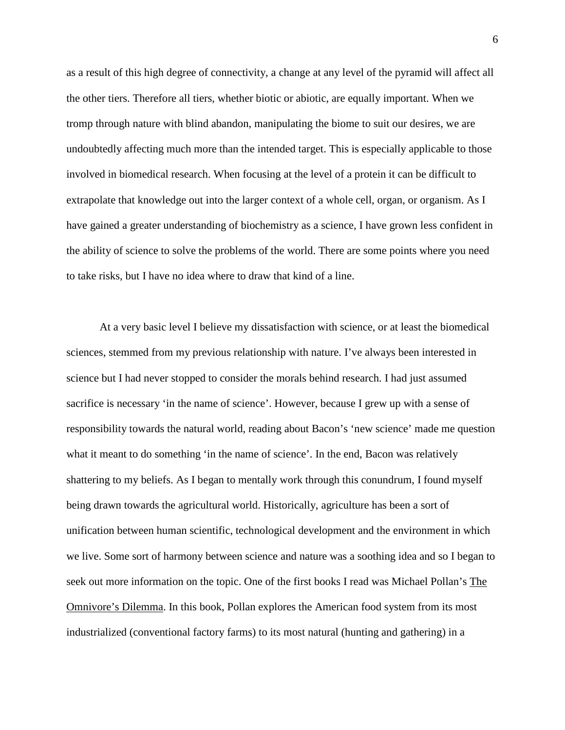as a result of this high degree of connectivity, a change at any level of the pyramid will affect all the other tiers. Therefore all tiers, whether biotic or abiotic, are equally important. When we tromp through nature with blind abandon, manipulating the biome to suit our desires, we are undoubtedly affecting much more than the intended target. This is especially applicable to those involved in biomedical research. When focusing at the level of a protein it can be difficult to extrapolate that knowledge out into the larger context of a whole cell, organ, or organism. As I have gained a greater understanding of biochemistry as a science, I have grown less confident in the ability of science to solve the problems of the world. There are some points where you need to take risks, but I have no idea where to draw that kind of a line.

At a very basic level I believe my dissatisfaction with science, or at least the biomedical sciences, stemmed from my previous relationship with nature. I've always been interested in science but I had never stopped to consider the morals behind research. I had just assumed sacrifice is necessary 'in the name of science'. However, because I grew up with a sense of responsibility towards the natural world, reading about Bacon's 'new science' made me question what it meant to do something 'in the name of science'. In the end, Bacon was relatively shattering to my beliefs. As I began to mentally work through this conundrum, I found myself being drawn towards the agricultural world. Historically, agriculture has been a sort of unification between human scientific, technological development and the environment in which we live. Some sort of harmony between science and nature was a soothing idea and so I began to seek out more information on the topic. One of the first books I read was Michael Pollan's The Omnivore's Dilemma. In this book, Pollan explores the American food system from its most industrialized (conventional factory farms) to its most natural (hunting and gathering) in a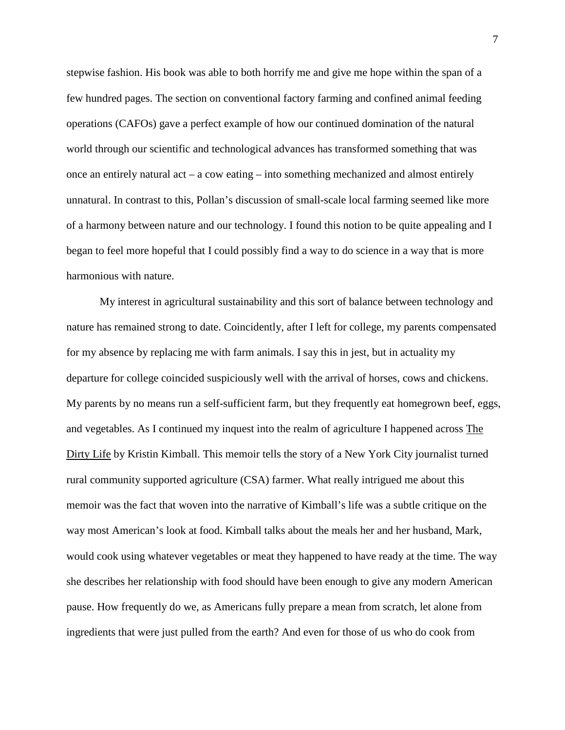stepwise fashion. His book was able to both horrify me and give me hope within the span of a few hundred pages. The section on conventional factory farming and confined animal feeding operations (CAFOs) gave a perfect example of how our continued domination of the natural world through our scientific and technological advances has transformed something that was once an entirely natural  $act - a$  cow eating – into something mechanized and almost entirely unnatural. In contrast to this, Pollan's discussion of small-scale local farming seemed like more of a harmony between nature and our technology. I found this notion to be quite appealing and I began to feel more hopeful that I could possibly find a way to do science in a way that is more harmonious with nature.

My interest in agricultural sustainability and this sort of balance between technology and nature has remained strong to date. Coincidently, after I left for college, my parents compensated for my absence by replacing me with farm animals. I say this in jest, but in actuality my departure for college coincided suspiciously well with the arrival of horses, cows and chickens. My parents by no means run a self-sufficient farm, but they frequently eat homegrown beef, eggs, and vegetables. As I continued my inquest into the realm of agriculture I happened across The Dirty Life by Kristin Kimball. This memoir tells the story of a New York City journalist turned rural community supported agriculture (CSA) farmer. What really intrigued me about this memoir was the fact that woven into the narrative of Kimball's life was a subtle critique on the way most American's look at food. Kimball talks about the meals her and her husband, Mark, would cook using whatever vegetables or meat they happened to have ready at the time. The way she describes her relationship with food should have been enough to give any modern American pause. How frequently do we, as Americans fully prepare a mean from scratch, let alone from ingredients that were just pulled from the earth? And even for those of us who do cook from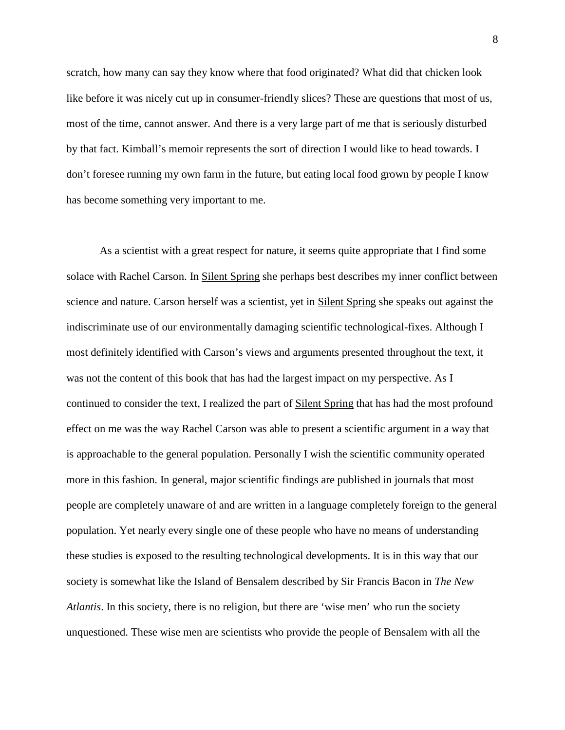scratch, how many can say they know where that food originated? What did that chicken look like before it was nicely cut up in consumer-friendly slices? These are questions that most of us, most of the time, cannot answer. And there is a very large part of me that is seriously disturbed by that fact. Kimball's memoir represents the sort of direction I would like to head towards. I don't foresee running my own farm in the future, but eating local food grown by people I know has become something very important to me.

As a scientist with a great respect for nature, it seems quite appropriate that I find some solace with Rachel Carson. In Silent Spring she perhaps best describes my inner conflict between science and nature. Carson herself was a scientist, yet in Silent Spring she speaks out against the indiscriminate use of our environmentally damaging scientific technological-fixes. Although I most definitely identified with Carson's views and arguments presented throughout the text, it was not the content of this book that has had the largest impact on my perspective. As I continued to consider the text, I realized the part of Silent Spring that has had the most profound effect on me was the way Rachel Carson was able to present a scientific argument in a way that is approachable to the general population. Personally I wish the scientific community operated more in this fashion. In general, major scientific findings are published in journals that most people are completely unaware of and are written in a language completely foreign to the general population. Yet nearly every single one of these people who have no means of understanding these studies is exposed to the resulting technological developments. It is in this way that our society is somewhat like the Island of Bensalem described by Sir Francis Bacon in *The New Atlantis*. In this society, there is no religion, but there are 'wise men' who run the society unquestioned. These wise men are scientists who provide the people of Bensalem with all the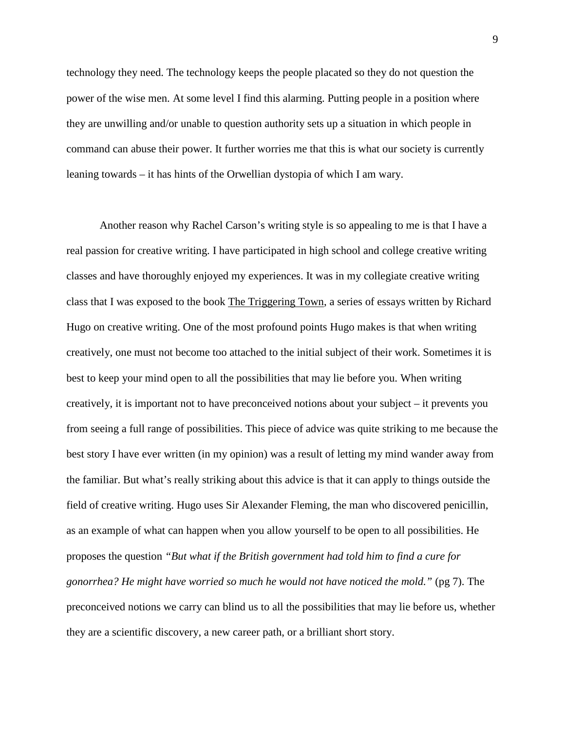technology they need. The technology keeps the people placated so they do not question the power of the wise men. At some level I find this alarming. Putting people in a position where they are unwilling and/or unable to question authority sets up a situation in which people in command can abuse their power. It further worries me that this is what our society is currently leaning towards – it has hints of the Orwellian dystopia of which I am wary.

Another reason why Rachel Carson's writing style is so appealing to me is that I have a real passion for creative writing. I have participated in high school and college creative writing classes and have thoroughly enjoyed my experiences. It was in my collegiate creative writing class that I was exposed to the book The Triggering Town, a series of essays written by Richard Hugo on creative writing. One of the most profound points Hugo makes is that when writing creatively, one must not become too attached to the initial subject of their work. Sometimes it is best to keep your mind open to all the possibilities that may lie before you. When writing creatively, it is important not to have preconceived notions about your subject – it prevents you from seeing a full range of possibilities. This piece of advice was quite striking to me because the best story I have ever written (in my opinion) was a result of letting my mind wander away from the familiar. But what's really striking about this advice is that it can apply to things outside the field of creative writing. Hugo uses Sir Alexander Fleming, the man who discovered penicillin, as an example of what can happen when you allow yourself to be open to all possibilities. He proposes the question *"But what if the British government had told him to find a cure for gonorrhea? He might have worried so much he would not have noticed the mold."* (pg 7). The preconceived notions we carry can blind us to all the possibilities that may lie before us, whether they are a scientific discovery, a new career path, or a brilliant short story.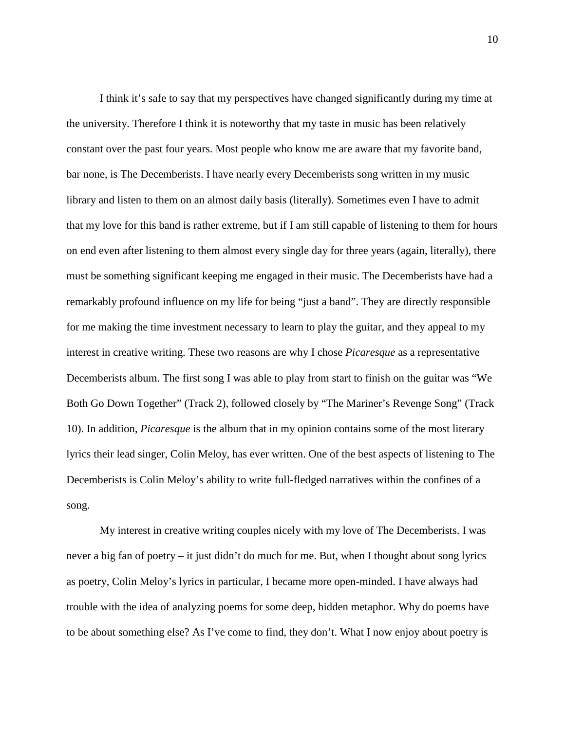I think it's safe to say that my perspectives have changed significantly during my time at the university. Therefore I think it is noteworthy that my taste in music has been relatively constant over the past four years. Most people who know me are aware that my favorite band, bar none, is The Decemberists. I have nearly every Decemberists song written in my music library and listen to them on an almost daily basis (literally). Sometimes even I have to admit that my love for this band is rather extreme, but if I am still capable of listening to them for hours on end even after listening to them almost every single day for three years (again, literally), there must be something significant keeping me engaged in their music. The Decemberists have had a remarkably profound influence on my life for being "just a band". They are directly responsible for me making the time investment necessary to learn to play the guitar, and they appeal to my interest in creative writing. These two reasons are why I chose *Picaresque* as a representative Decemberists album. The first song I was able to play from start to finish on the guitar was "We Both Go Down Together" (Track 2), followed closely by "The Mariner's Revenge Song" (Track 10). In addition, *Picaresque* is the album that in my opinion contains some of the most literary lyrics their lead singer, Colin Meloy, has ever written. One of the best aspects of listening to The Decemberists is Colin Meloy's ability to write full-fledged narratives within the confines of a song.

My interest in creative writing couples nicely with my love of The Decemberists. I was never a big fan of poetry – it just didn't do much for me. But, when I thought about song lyrics as poetry, Colin Meloy's lyrics in particular, I became more open-minded. I have always had trouble with the idea of analyzing poems for some deep, hidden metaphor. Why do poems have to be about something else? As I've come to find, they don't. What I now enjoy about poetry is